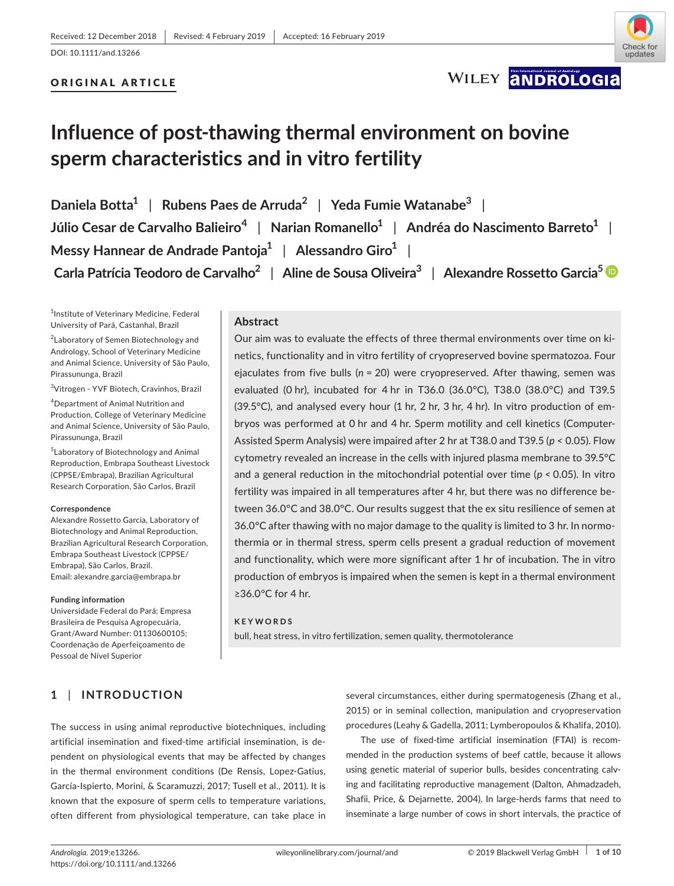# ORIGINAL ARTICLE



WILEY ANDROLOGIA

# **Influence of post‐thawing thermal environment on bovine sperm characteristics and in vitro fertility**

**Daniela Botta<sup>1</sup>** | **Rubens Paes de Arruda<sup>2</sup>** | **Yeda Fumie Watanabe<sup>3</sup>** | **Júlio Cesar de Carvalho Balieiro<sup>4</sup>** | **Narian Romanello<sup>1</sup>** | **Andréa do Nascimento Barreto<sup>1</sup>** | **Messy Hannear de Andrade Pantoja<sup>1</sup>** | **Alessandro Giro<sup>1</sup>** | **Carla Patrícia Teodoro de Carvalho<sup>2</sup>** | **Aline de Sousa Oliveira<sup>3</sup>** | **Alexandre Rossetto Garcia[5](https://orcid.org/0000-0002-3354-1474)**

1 Institute of Veterinary Medicine, Federal University of Pará, Castanhal, Brazil

<sup>2</sup> Laboratory of Semen Biotechnology and Andrology, School of Veterinary Medicine and Animal Science, University of São Paulo, Pirassununga, Brazil

3 Vitrogen ‐ YVF Biotech, Cravinhos, Brazil

4 Department of Animal Nutrition and Production, College of Veterinary Medicine and Animal Science, University of São Paulo, Pirassununga, Brazil

5 Laboratory of Biotechnology and Animal Reproduction, Embrapa Southeast Livestock (CPPSE/Embrapa), Brazilian Agricultural Research Corporation, São Carlos, Brazil

#### **Correspondence**

Alexandre Rossetto Garcia, Laboratory of Biotechnology and Animal Reproduction, Brazilian Agricultural Research Corporation, Embrapa Southeast Livestock (CPPSE/ Embrapa), São Carlos, Brazil. Email: [alexandre.garcia@embrapa.br](mailto:alexandre.garcia@embrapa.br)

#### **Funding information**

Universidade Federal do Pará; Empresa Brasileira de Pesquisa Agropecuária, Grant/Award Number: 01130600105; Coordenação de Aperfeiçoamento de Pessoal de Nível Superior

## **Abstract**

Our aim was to evaluate the effects of three thermal environments over time on ki‐ netics, functionality and in vitro fertility of cryopreserved bovine spermatozoa. Four ejaculates from five bulls (*n* = 20) were cryopreserved. After thawing, semen was evaluated (0 hr), incubated for 4 hr in T36.0 (36.0°C), T38.0 (38.0°C) and T39.5 (39.5°C), and analysed every hour (1 hr, 2 hr, 3 hr, 4 hr). In vitro production of em‐ bryos was performed at 0 hr and 4 hr. Sperm motility and cell kinetics (Computer‐ Assisted Sperm Analysis) were impaired after 2 hr at T38.0 and T39.5 (*p <* 0.05). Flow cytometry revealed an increase in the cells with injured plasma membrane to 39.5°C and a general reduction in the mitochondrial potential over time (*p <* 0.05). In vitro fertility was impaired in all temperatures after 4 hr, but there was no difference be‐ tween 36.0°C and 38.0°C. Our results suggest that the ex situ resilience of semen at 36.0°C after thawing with no major damage to the quality is limited to 3 hr. In normo‐ thermia or in thermal stress, sperm cells present a gradual reduction of movement and functionality, which were more significant after 1 hr of incubation. The in vitro production of embryos is impaired when the semen is kept in a thermal environment ≥36.0°C for 4 hr.

#### **KEYWORDS**

bull, heat stress, in vitro fertilization, semen quality, thermotolerance

# **1** | **INTRODUCTION**

The success in using animal reproductive biotechniques, including artificial insemination and fixed-time artificial insemination, is dependent on physiological events that may be affected by changes in the thermal environment conditions (De Rensis, Lopez‐Gatius, García-Ispierto, Morini, & Scaramuzzi, 2017; Tusell et al., 2011). It is known that the exposure of sperm cells to temperature variations, often different from physiological temperature, can take place in

several circumstances, either during spermatogenesis (Zhang et al., 2015) or in seminal collection, manipulation and cryopreservation procedures (Leahy & Gadella, 2011; Lymberopoulos & Khalifa, 2010).

The use of fixed-time artificial insemination (FTAI) is recommended in the production systems of beef cattle, because it allows using genetic material of superior bulls, besides concentrating calving and facilitating reproductive management (Dalton, Ahmadzadeh, Shafii, Price, & Dejarnette, 2004). In large‐herds farms that need to inseminate a large number of cows in short intervals, the practice of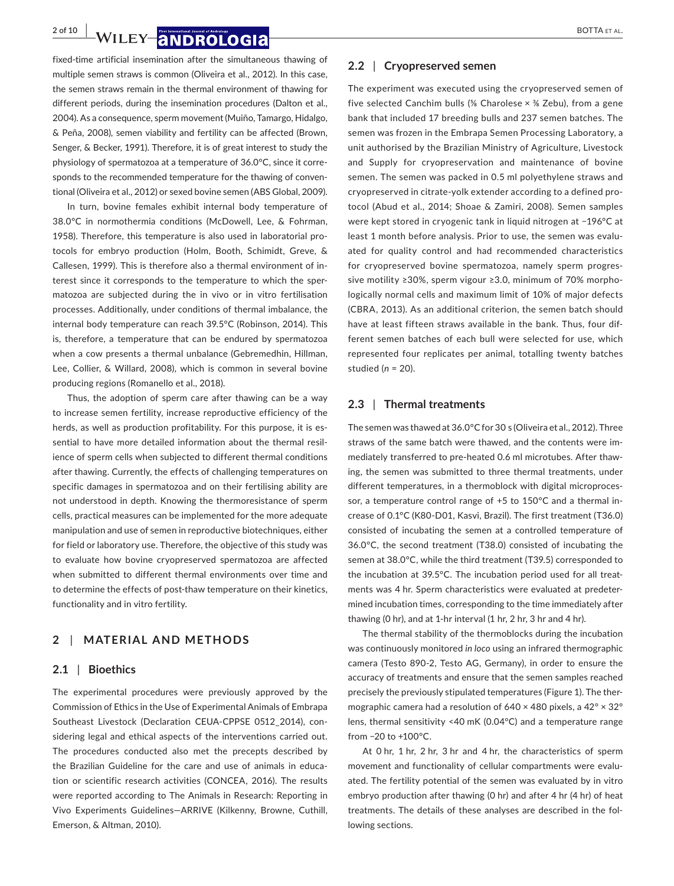**2 of 10 MILEY 2 NDROLOGI2** BOTTA ET AL.

fixed-time artificial insemination after the simultaneous thawing of multiple semen straws is common (Oliveira et al., 2012). In this case, the semen straws remain in the thermal environment of thawing for different periods, during the insemination procedures (Dalton et al., 2004). As a consequence, sperm movement (Muiño, Tamargo, Hidalgo, & Peña, 2008), semen viability and fertility can be affected (Brown, Senger, & Becker, 1991). Therefore, it is of great interest to study the physiology of spermatozoa at a temperature of 36.0°C, since it corre‐ sponds to the recommended temperature for the thawing of conventional (Oliveira et al., 2012) or sexed bovine semen (ABS Global, 2009).

In turn, bovine females exhibit internal body temperature of 38.0°C in normothermia conditions (McDowell, Lee, & Fohrman, 1958). Therefore, this temperature is also used in laboratorial pro‐ tocols for embryo production (Holm, Booth, Schimidt, Greve, & Callesen, 1999). This is therefore also a thermal environment of in‐ terest since it corresponds to the temperature to which the sper‐ matozoa are subjected during the in vivo or in vitro fertilisation processes. Additionally, under conditions of thermal imbalance, the internal body temperature can reach 39.5°C (Robinson, 2014). This is, therefore, a temperature that can be endured by spermatozoa when a cow presents a thermal unbalance (Gebremedhin, Hillman, Lee, Collier, & Willard, 2008), which is common in several bovine producing regions (Romanello et al., 2018).

Thus, the adoption of sperm care after thawing can be a way to increase semen fertility, increase reproductive efficiency of the herds, as well as production profitability. For this purpose, it is essential to have more detailed information about the thermal resil‐ ience of sperm cells when subjected to different thermal conditions after thawing. Currently, the effects of challenging temperatures on specific damages in spermatozoa and on their fertilising ability are not understood in depth. Knowing the thermoresistance of sperm cells, practical measures can be implemented for the more adequate manipulation and use of semen in reproductive biotechniques, either for field or laboratory use. Therefore, the objective of this study was to evaluate how bovine cryopreserved spermatozoa are affected when submitted to different thermal environments over time and to determine the effects of post-thaw temperature on their kinetics, functionality and in vitro fertility.

### **2** | **MATERIAL AND METHODS**

#### **2.1** | **Bioethics**

The experimental procedures were previously approved by the Commission of Ethics in the Use of Experimental Animals of Embrapa Southeast Livestock (Declaration CEUA‐CPPSE 0512\_2014), con‐ sidering legal and ethical aspects of the interventions carried out. The procedures conducted also met the precepts described by the Brazilian Guideline for the care and use of animals in educa‐ tion or scientific research activities (CONCEA, 2016). The results were reported according to The Animals in Research: Reporting in Vivo Experiments Guidelines—ARRIVE (Kilkenny, Browne, Cuthill, Emerson, & Altman, 2010).

#### **2.2** | **Cryopreserved semen**

The experiment was executed using the cryopreserved semen of five selected Canchim bulls (⅝ Charolese × ⅜ Zebu), from a gene bank that included 17 breeding bulls and 237 semen batches. The semen was frozen in the Embrapa Semen Processing Laboratory, a unit authorised by the Brazilian Ministry of Agriculture, Livestock and Supply for cryopreservation and maintenance of bovine semen. The semen was packed in 0.5 ml polyethylene straws and cryopreserved in citrate‐yolk extender according to a defined pro‐ tocol (Abud et al., 2014; Shoae & Zamiri, 2008). Semen samples were kept stored in cryogenic tank in liquid nitrogen at −196°C at least 1 month before analysis. Prior to use, the semen was evalu‐ ated for quality control and had recommended characteristics for cryopreserved bovine spermatozoa, namely sperm progres‐ sive motility ≥30%, sperm vigour ≥3.0, minimum of 70% morpho‐ logically normal cells and maximum limit of 10% of major defects (CBRA, 2013). As an additional criterion, the semen batch should have at least fifteen straws available in the bank. Thus, four dif‐ ferent semen batches of each bull were selected for use, which represented four replicates per animal, totalling twenty batches studied (*n* = 20).

#### **2.3** | **Thermal treatments**

The semen was thawed at 36.0°C for 30 s (Oliveira et al., 2012). Three straws of the same batch were thawed, and the contents were im‐ mediately transferred to pre‐heated 0.6 ml microtubes. After thaw‐ ing, the semen was submitted to three thermal treatments, under different temperatures, in a thermoblock with digital microproces‐ sor, a temperature control range of +5 to 150°C and a thermal increase of 0.1°C (K80‐D01, Kasvi, Brazil). The first treatment (T36.0) consisted of incubating the semen at a controlled temperature of 36.0°C, the second treatment (T38.0) consisted of incubating the semen at 38.0°C, while the third treatment (T39.5) corresponded to the incubation at 39.5°C. The incubation period used for all treat‐ ments was 4 hr. Sperm characteristics were evaluated at predeter‐ mined incubation times, corresponding to the time immediately after thawing (0 hr), and at 1‐hr interval (1 hr, 2 hr, 3 hr and 4 hr).

The thermal stability of the thermoblocks during the incubation was continuously monitored *in loco* using an infrared thermographic camera (Testo 890‐2, Testo AG, Germany), in order to ensure the accuracy of treatments and ensure that the semen samples reached precisely the previously stipulated temperatures (Figure 1). The ther‐ mographic camera had a resolution of 640 × 480 pixels, a 42° × 32° lens, thermal sensitivity <40 mK (0.04°C) and a temperature range from −20 to +100°C.

At 0 hr, 1 hr, 2 hr, 3 hr and 4 hr, the characteristics of sperm movement and functionality of cellular compartments were evalu‐ ated. The fertility potential of the semen was evaluated by in vitro embryo production after thawing (0 hr) and after 4 hr (4 hr) of heat treatments. The details of these analyses are described in the fol‐ lowing sections.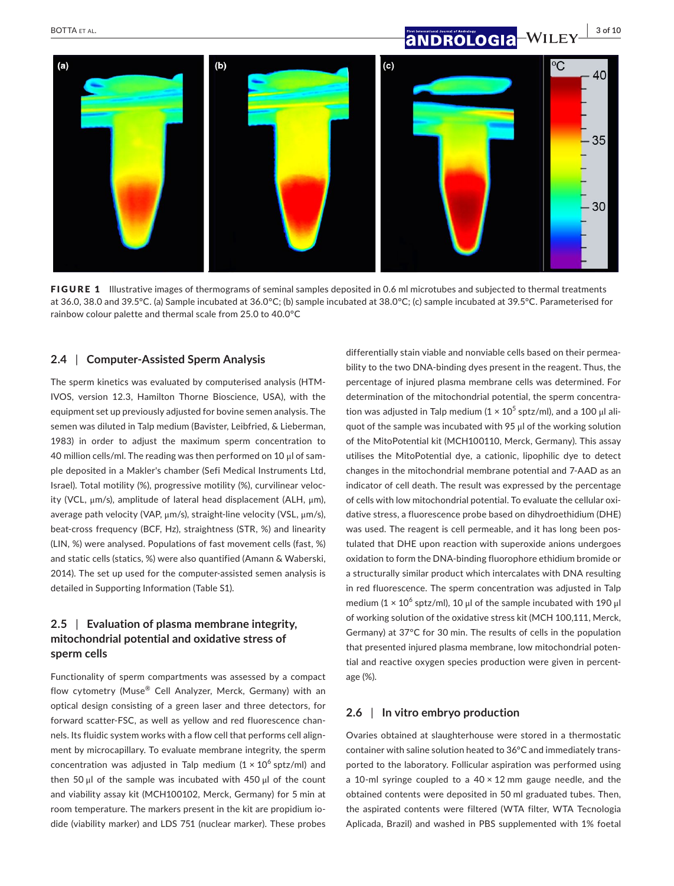



FIGURE 1 Illustrative images of thermograms of seminal samples deposited in 0.6 ml microtubes and subjected to thermal treatments at 36.0, 38.0 and 39.5°C. (a) Sample incubated at 36.0°C; (b) sample incubated at 38.0°C; (c) sample incubated at 39.5°C. Parameterised for rainbow colour palette and thermal scale from 25.0 to 40.0°C

#### **2.4** | **Computer‐Assisted Sperm Analysis**

The sperm kinetics was evaluated by computerised analysis (HTM‐ IVOS, version 12.3, Hamilton Thorne Bioscience, USA), with the equipment set up previously adjusted for bovine semen analysis. The semen was diluted in Talp medium (Bavister, Leibfried, & Lieberman, 1983) in order to adjust the maximum sperm concentration to 40 million cells/ml. The reading was then performed on 10 μl of sam‐ ple deposited in a Makler's chamber (Sefi Medical Instruments Ltd, Israel). Total motility (%), progressive motility (%), curvilinear veloc‐ ity (VCL, μm/s), amplitude of lateral head displacement (ALH, μm), average path velocity (VAP, μm/s), straight‐line velocity (VSL, μm/s), beat‐cross frequency (BCF, Hz), straightness (STR, %) and linearity (LIN, %) were analysed. Populations of fast movement cells (fast, %) and static cells (statics, %) were also quantified (Amann & Waberski, 2014). The set up used for the computer‐assisted semen analysis is detailed in Supporting Information (Table S1).

# **2.5** | **Evaluation of plasma membrane integrity, mitochondrial potential and oxidative stress of sperm cells**

Functionality of sperm compartments was assessed by a compact flow cytometry (Muse® Cell Analyzer, Merck, Germany) with an optical design consisting of a green laser and three detectors, for forward scatter‐FSC, as well as yellow and red fluorescence chan‐ nels. Its fluidic system works with a flow cell that performs cell alignment by microcapillary. To evaluate membrane integrity, the sperm concentration was adjusted in Talp medium  $(1 \times 10^6 \text{ sptz/ml})$  and then 50 μl of the sample was incubated with 450 μl of the count and viability assay kit (MCH100102, Merck, Germany) for 5 min at room temperature. The markers present in the kit are propidium io‐ dide (viability marker) and LDS 751 (nuclear marker). These probes

differentially stain viable and nonviable cells based on their permea‐ bility to the two DNA‐binding dyes present in the reagent. Thus, the percentage of injured plasma membrane cells was determined. For determination of the mitochondrial potential, the sperm concentra‐ tion was adjusted in Talp medium  $(1 \times 10^5 \text{ sptz/ml})$ , and a 100 µl aliquot of the sample was incubated with 95 μl of the working solution of the MitoPotential kit (MCH100110, Merck, Germany). This assay utilises the MitoPotential dye, a cationic, lipophilic dye to detect changes in the mitochondrial membrane potential and 7‐AAD as an indicator of cell death. The result was expressed by the percentage of cells with low mitochondrial potential. To evaluate the cellular oxi‐ dative stress, a fluorescence probe based on dihydroethidium (DHE) was used. The reagent is cell permeable, and it has long been postulated that DHE upon reaction with superoxide anions undergoes oxidation to form the DNA‐binding fluorophore ethidium bromide or a structurally similar product which intercalates with DNA resulting in red fluorescence. The sperm concentration was adjusted in Talp medium ( $1 \times 10^6$  sptz/ml), 10 μl of the sample incubated with 190 μl of working solution of the oxidative stress kit (MCH 100,111, Merck, Germany) at 37°C for 30 min. The results of cells in the population that presented injured plasma membrane, low mitochondrial poten‐ tial and reactive oxygen species production were given in percent‐ age (%).

### **2.6** | **In vitro embryo production**

Ovaries obtained at slaughterhouse were stored in a thermostatic container with saline solution heated to 36°C and immediately trans‐ ported to the laboratory. Follicular aspiration was performed using a 10-ml syringe coupled to a  $40 \times 12$  mm gauge needle, and the obtained contents were deposited in 50 ml graduated tubes. Then, the aspirated contents were filtered (WTA filter, WTA Tecnologia Aplicada, Brazil) and washed in PBS supplemented with 1% foetal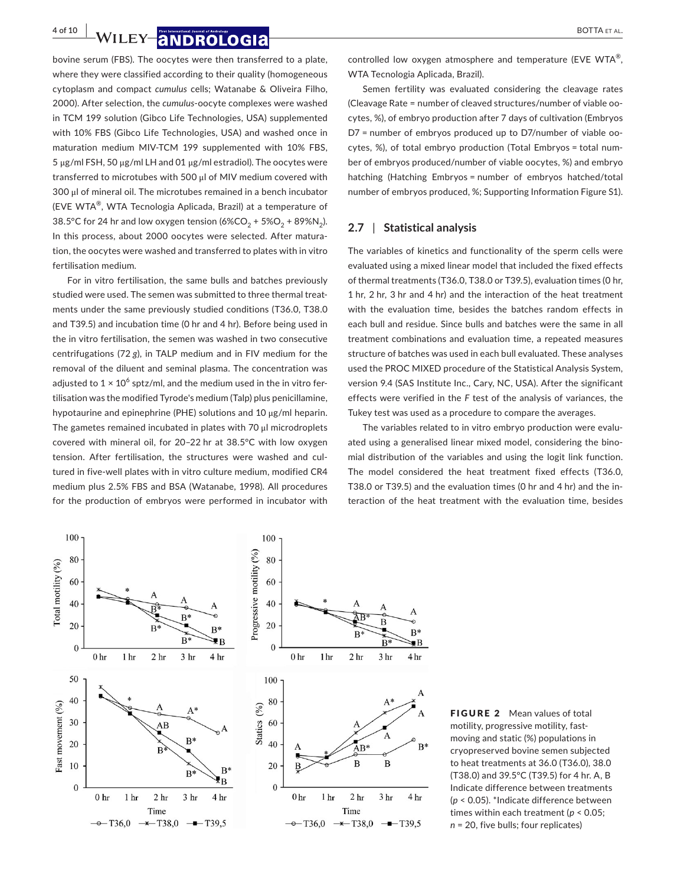# **4 of 10 WILEY 2 NDROLOGI2** BOTTA ET AL.

bovine serum (FBS). The oocytes were then transferred to a plate, where they were classified according to their quality (homogeneous cytoplasm and compact *cumulus* cells; Watanabe & Oliveira Filho, 2000). After selection, the *cumulus*‐oocyte complexes were washed in TCM 199 solution (Gibco Life Technologies, USA) supplemented with 10% FBS (Gibco Life Technologies, USA) and washed once in maturation medium MIV‐TCM 199 supplemented with 10% FBS, 5 μg/ml FSH, 50 μg/ml LH and 01 μg/ml estradiol). The oocytes were transferred to microtubes with 500 μl of MIV medium covered with 300 μl of mineral oil. The microtubes remained in a bench incubator (EVE WTA®, WTA Tecnologia Aplicada, Brazil) at a temperature of 38.5°C for 24 hr and low oxygen tension  $(6\%CO_2 + 5\%O_2 + 89\%N_2)$ . In this process, about 2000 oocytes were selected. After maturation, the oocytes were washed and transferred to plates with in vitro fertilisation medium*.*

For in vitro fertilisation, the same bulls and batches previously studied were used. The semen was submitted to three thermal treat‐ ments under the same previously studied conditions (T36.0, T38.0 and T39.5) and incubation time (0 hr and 4 hr). Before being used in the in vitro fertilisation, the semen was washed in two consecutive centrifugations (72 *g*), in TALP medium and in FIV medium for the removal of the diluent and seminal plasma. The concentration was adjusted to  $1 \times 10^6$  sptz/ml, and the medium used in the in vitro fertilisation was the modified Tyrode's medium (Talp) plus penicillamine, hypotaurine and epinephrine (PHE) solutions and 10 μg/ml heparin. The gametes remained incubated in plates with 70 μl microdroplets covered with mineral oil, for 20–22 hr at 38.5°C with low oxygen tension. After fertilisation, the structures were washed and cul‐ tured in five‐well plates with in vitro culture medium, modified CR4 medium plus 2.5% FBS and BSA (Watanabe, 1998). All procedures for the production of embryos were performed in incubator with controlled low oxygen atmosphere and temperature (EVE WTA<sup>®</sup>, WTA Tecnologia Aplicada, Brazil).

Semen fertility was evaluated considering the cleavage rates (Cleavage Rate = number of cleaved structures/number of viable oo‐ cytes, %), of embryo production after 7 days of cultivation (Embryos D7 = number of embryos produced up to D7/number of viable oo‐ cytes, %), of total embryo production (Total Embryos = total num‐ ber of embryos produced/number of viable oocytes, %) and embryo hatching (Hatching Embryos = number of embryos hatched/total number of embryos produced, %; Supporting Information Figure S1).

## **2.7** | **Statistical analysis**

The variables of kinetics and functionality of the sperm cells were evaluated using a mixed linear model that included the fixed effects of thermal treatments (T36.0, T38.0 or T39.5), evaluation times (0 hr, 1 hr, 2 hr, 3 hr and 4 hr) and the interaction of the heat treatment with the evaluation time, besides the batches random effects in each bull and residue. Since bulls and batches were the same in all treatment combinations and evaluation time, a repeated measures structure of batches was used in each bull evaluated. These analyses used the PROC MIXED procedure of the Statistical Analysis System, version 9.4 (SAS Institute Inc., Cary, NC, USA). After the significant effects were verified in the *F* test of the analysis of variances, the Tukey test was used as a procedure to compare the averages.

The variables related to in vitro embryo production were evalu‐ ated using a generalised linear mixed model, considering the bino‐ mial distribution of the variables and using the logit link function. The model considered the heat treatment fixed effects (T36.0, T38.0 or T39.5) and the evaluation times (0 hr and 4 hr) and the in‐ teraction of the heat treatment with the evaluation time, besides



FIGURE 2 Mean values of total motility, progressive motility, fast‐ moving and static (%) populations in cryopreserved bovine semen subjected to heat treatments at 36.0 (T36.0), 38.0 (T38.0) and 39.5°C (T39.5) for 4 hr. A, B Indicate difference between treatments (*p* < 0.05). \*Indicate difference between times within each treatment (*p* < 0.05; *n* = 20, five bulls; four replicates)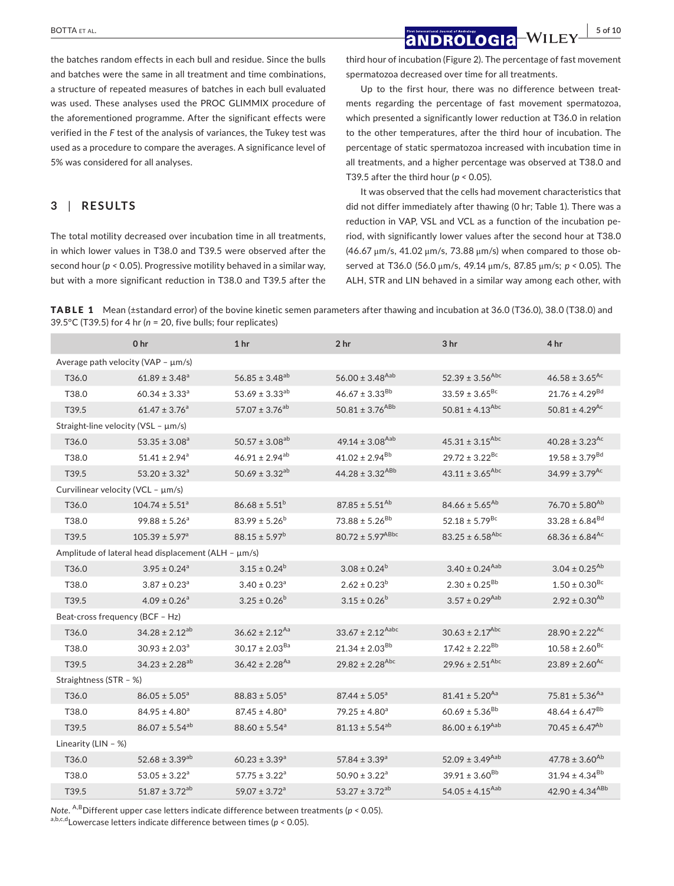# **BOTTA ET AL. 1998 CONDROLOGIA** WILEY 5 of 10

the batches random effects in each bull and residue. Since the bulls and batches were the same in all treatment and time combinations, a structure of repeated measures of batches in each bull evaluated was used. These analyses used the PROC GLIMMIX procedure of the aforementioned programme. After the significant effects were verified in the *F* test of the analysis of variances, the Tukey test was used as a procedure to compare the averages. A significance level of 5% was considered for all analyses.

## **3** | **RESULTS**

The total motility decreased over incubation time in all treatments, in which lower values in T38.0 and T39.5 were observed after the second hour (*p <* 0.05). Progressive motility behaved in a similar way, but with a more significant reduction in T38.0 and T39.5 after the third hour of incubation (Figure 2). The percentage of fast movement spermatozoa decreased over time for all treatments.

Up to the first hour, there was no difference between treatments regarding the percentage of fast movement spermatozoa, which presented a significantly lower reduction at T36.0 in relation to the other temperatures, after the third hour of incubation. The percentage of static spermatozoa increased with incubation time in all treatments, and a higher percentage was observed at T38.0 and T39.5 after the third hour (*p <* 0.05).

It was observed that the cells had movement characteristics that did not differ immediately after thawing (0 hr; Table 1). There was a reduction in VAP, VSL and VCL as a function of the incubation pe‐ riod, with significantly lower values after the second hour at T38.0 (46.67 μm/s, 41.02 μm/s, 73.88 μm/s) when compared to those ob‐ served at T36.0 (56.0 μm/s, 49.14 μm/s, 87.85 μm/s; *p <* 0.05). The ALH, STR and LIN behaved in a similar way among each other, with

TABLE 1 Mean (±standard error) of the bovine kinetic semen parameters after thawing and incubation at 36.0 (T36.0), 38.0 (T38.0) and 39.5°C (T39.5) for 4 hr (*n* = 20, five bulls; four replicates)

|                                                     | 0 <sub>hr</sub>                | 1 <sub>hr</sub>                | 2 <sub>hr</sub>                  | 3 <sub>hr</sub>                 | 4 hr                           |
|-----------------------------------------------------|--------------------------------|--------------------------------|----------------------------------|---------------------------------|--------------------------------|
| Average path velocity (VAP - $\mu$ m/s)             |                                |                                |                                  |                                 |                                |
| T <sub>36.0</sub>                                   | $61.89 \pm 3.48^a$             | $56.85 \pm 3.48^{ab}$          | 56.00 ± 3.48 <sup>Aab</sup>      | 52.39 ± 3.56 <sup>Abc</sup>     | $46.58 \pm 3.65$ <sup>Ac</sup> |
| T38.0                                               | $60.34 \pm 3.33$ <sup>a</sup>  | 53.69 ± 3.33 <sup>ab</sup>     | $46.67 \pm 3.33^{Bb}$            | $33.59 \pm 3.65$ <sup>Bc</sup>  | $21.76 \pm 4.29^{Bd}$          |
| T39.5                                               | $61.47 \pm 3.76$ <sup>a</sup>  | 57.07 $\pm$ 3.76 <sup>ab</sup> | 50.81 ± 3.76 <sup>ABb</sup>      | 50.81 ± 4.13 <sup>Abc</sup>     | 50.81 ± 4.29 <sup>Ac</sup>     |
| Straight-line velocity (VSL - µm/s)                 |                                |                                |                                  |                                 |                                |
| T <sub>36.0</sub>                                   | $53.35 \pm 3.08^a$             | $50.57 \pm 3.08^{ab}$          | 49.14 ± 3.08 <sup>Aab</sup>      | $45.31 \pm 3.15$ <sup>Abc</sup> | $40.28 \pm 3.23$ <sup>Ac</sup> |
| T38.0                                               | $51.41 \pm 2.94^a$             | $46.91 \pm 2.94^{ab}$          | $41.02 \pm 2.94^{Bb}$            | $29.72 \pm 3.22$ <sup>Bc</sup>  | $19.58 \pm 3.79^{Bd}$          |
| T <sub>39.5</sub>                                   | $53.20 \pm 3.32^a$             | $50.69 \pm 3.32^{ab}$          | $44.28 \pm 3.32^{ABB}$           | $43.11 \pm 3.65$ <sup>Abc</sup> | $34.99 \pm 3.79$ <sup>Ac</sup> |
| Curvilinear velocity (VCL - µm/s)                   |                                |                                |                                  |                                 |                                |
| T <sub>36.0</sub>                                   | $104.74 \pm 5.51^{\circ}$      | $86.68 \pm 5.51^b$             | $87.85 \pm 5.51^{Ab}$            | $84.66 \pm 5.65^{Ab}$           | $76.70 \pm 5.80^{Ab}$          |
| T38.0                                               | $99.88 \pm 5.26^a$             | $83.99 \pm 5.26^b$             | $73.88 \pm 5.26^{Bb}$            | $52.18 \pm 5.79$ <sup>Bc</sup>  | $33.28 \pm 6.84$ <sup>Bd</sup> |
| T <sub>39.5</sub>                                   | $105.39 \pm 5.97$ <sup>a</sup> | $88.15 \pm 5.97^b$             | $80.72 \pm 5.97^{ABbc}$          | $83.25 \pm 6.58$ <sup>Abc</sup> | $68.36 \pm 6.84$ <sup>Ac</sup> |
| Amplitude of lateral head displacement (ALH - µm/s) |                                |                                |                                  |                                 |                                |
| T <sub>36.0</sub>                                   | $3.95 \pm 0.24$ <sup>a</sup>   | $3.15 \pm 0.24^b$              | $3.08 \pm 0.24^b$                | $3.40 \pm 0.24^{Aab}$           | $3.04 \pm 0.25^{Ab}$           |
| T38.0                                               | $3.87 \pm 0.23$ <sup>a</sup>   | $3.40 \pm 0.23$ <sup>a</sup>   | $2.62 \pm 0.23^b$                | $2.30 \pm 0.25^{Bb}$            | $1.50 \pm 0.30$ <sup>Bc</sup>  |
| T39.5                                               | $4.09 \pm 0.26$ <sup>a</sup>   | $3.25 \pm 0.26^b$              | $3.15 \pm 0.26^b$                | $3.57 \pm 0.29$ Aab             | $2.92 \pm 0.30^{Ab}$           |
| Beat-cross frequency (BCF - Hz)                     |                                |                                |                                  |                                 |                                |
| T36.0                                               | $34.28 \pm 2.12^{ab}$          | $36.62 \pm 2.12^{Aa}$          | $33.67 \pm 2.12$ <sup>Aabc</sup> | $30.63 \pm 2.17^{Abc}$          | $28.90 \pm 2.22^{Ac}$          |
| T38.0                                               | $30.93 \pm 2.03^a$             | $30.17 \pm 2.03^{Ba}$          | 21.34 ± 2.03 <sup>Bb</sup>       | $17.42 \pm 2.22^{Bb}$           | $10.58 \pm 2.60$ <sup>Bc</sup> |
| T39.5                                               | $34.23 \pm 2.28^{ab}$          | $36.42 \pm 2.28$ <sup>Aa</sup> | $29.82 \pm 2.28$ <sup>Abc</sup>  | $29.96 \pm 2.51^{Abc}$          | $23.89 \pm 2.60$ <sup>Ac</sup> |
| Straightness (STR - %)                              |                                |                                |                                  |                                 |                                |
| T <sub>36.0</sub>                                   | $86.05 \pm 5.05^{\circ}$       | $88.83 \pm 5.05^a$             | $87.44 \pm 5.05^{\circ}$         | $81.41 \pm 5.20$ <sup>Aa</sup>  | 75.81 ± 5.36 <sup>Aa</sup>     |
| T38.0                                               | $84.95 \pm 4.80^a$             | $87.45 \pm 4.80^a$             | $79.25 \pm 4.80^a$               | $60.69 \pm 5.36^{Bb}$           | $48.64 \pm 6.47^{Bb}$          |
| T39.5                                               | $86.07 \pm 5.54^{ab}$          | $88.60 \pm 5.54$ <sup>a</sup>  | $81.13 \pm 5.54^{ab}$            | $86.00 \pm 6.19$ <sup>Aab</sup> | $70.45 \pm 6.47^{Ab}$          |
| Linearity ( $LIN - %$ )                             |                                |                                |                                  |                                 |                                |
| T <sub>36.0</sub>                                   | $52.68 \pm 3.39^{ab}$          | $60.23 \pm 3.39^a$             | $57.84 \pm 3.39^a$               | 52.09 ± 3.49 <sup>Aab</sup>     | $47.78 \pm 3.60^{Ab}$          |
| T38.0                                               | $53.05 \pm 3.22^a$             | $57.75 \pm 3.22^a$             | $50.90 \pm 3.22$ <sup>a</sup>    | $39.91 \pm 3.60^{Bb}$           | $31.94 \pm 4.34^{Bb}$          |
| T <sub>39.5</sub>                                   | $51.87 \pm 3.72^{ab}$          | $59.07 \pm 3.72^a$             | $53.27 \pm 3.72^{ab}$            | $54.05 \pm 4.15^{Aab}$          | $42.90 \pm 4.34^{ABB}$         |

*Note*. A,BDifferent upper case letters indicate difference between treatments (*p <* 0.05).

a,b,c,dLowercase letters indicate difference between times (*p <* 0.05).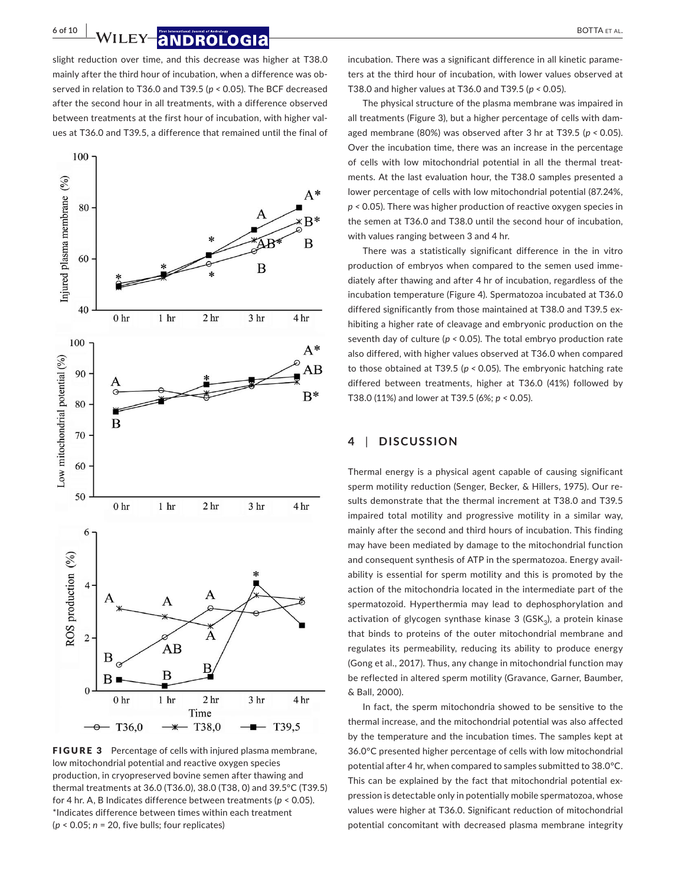**6 of 10 WILEY 2 NDROLOGI2 BOTTA ET AL.** 

slight reduction over time, and this decrease was higher at T38.0 mainly after the third hour of incubation, when a difference was observed in relation to T36.0 and T39.5 (*p <* 0.05). The BCF decreased after the second hour in all treatments, with a difference observed between treatments at the first hour of incubation, with higher val‐ ues at T36.0 and T39.5, a difference that remained until the final of



FIGURE 3 Percentage of cells with injured plasma membrane, low mitochondrial potential and reactive oxygen species production, in cryopreserved bovine semen after thawing and thermal treatments at 36.0 (T36.0), 38.0 (T38, 0) and 39.5°C (T39.5) for 4 hr. A, B Indicates difference between treatments (*p* < 0.05). \*Indicates difference between times within each treatment (*p* < 0.05; *n* = 20, five bulls; four replicates)

incubation. There was a significant difference in all kinetic parame‐ ters at the third hour of incubation, with lower values observed at T38.0 and higher values at T36.0 and T39.5 (*p <* 0.05).

The physical structure of the plasma membrane was impaired in all treatments (Figure 3), but a higher percentage of cells with dam‐ aged membrane (80%) was observed after 3 hr at T39.5 (*p <* 0.05). Over the incubation time, there was an increase in the percentage of cells with low mitochondrial potential in all the thermal treat‐ ments. At the last evaluation hour, the T38.0 samples presented a lower percentage of cells with low mitochondrial potential (87.24%, *p <* 0.05). There was higher production of reactive oxygen species in the semen at T36.0 and T38.0 until the second hour of incubation, with values ranging between 3 and 4 hr.

There was a statistically significant difference in the in vitro production of embryos when compared to the semen used imme‐ diately after thawing and after 4 hr of incubation, regardless of the incubation temperature (Figure 4). Spermatozoa incubated at T36.0 differed significantly from those maintained at T38.0 and T39.5 ex‐ hibiting a higher rate of cleavage and embryonic production on the seventh day of culture (*p <* 0.05). The total embryo production rate also differed, with higher values observed at T36.0 when compared to those obtained at T39.5 (*p <* 0.05). The embryonic hatching rate differed between treatments, higher at T36.0 (41%) followed by T38.0 (11%) and lower at T39.5 (6%; *p <* 0.05).

### **4** | **DISCUSSION**

Thermal energy is a physical agent capable of causing significant sperm motility reduction (Senger, Becker, & Hillers, 1975). Our re‐ sults demonstrate that the thermal increment at T38.0 and T39.5 impaired total motility and progressive motility in a similar way, mainly after the second and third hours of incubation. This finding may have been mediated by damage to the mitochondrial function and consequent synthesis of ATP in the spermatozoa. Energy avail‐ ability is essential for sperm motility and this is promoted by the action of the mitochondria located in the intermediate part of the spermatozoid. Hyperthermia may lead to dephosphorylation and activation of glycogen synthase kinase  $3$  (GSK<sub>3</sub>), a protein kinase that binds to proteins of the outer mitochondrial membrane and regulates its permeability, reducing its ability to produce energy (Gong et al., 2017). Thus, any change in mitochondrial function may be reflected in altered sperm motility (Gravance, Garner, Baumber, & Ball, 2000).

In fact, the sperm mitochondria showed to be sensitive to the thermal increase, and the mitochondrial potential was also affected by the temperature and the incubation times. The samples kept at 36.0°C presented higher percentage of cells with low mitochondrial potential after 4 hr, when compared to samples submitted to 38.0°C. This can be explained by the fact that mitochondrial potential ex‐ pression is detectable only in potentially mobile spermatozoa, whose values were higher at T36.0. Significant reduction of mitochondrial potential concomitant with decreased plasma membrane integrity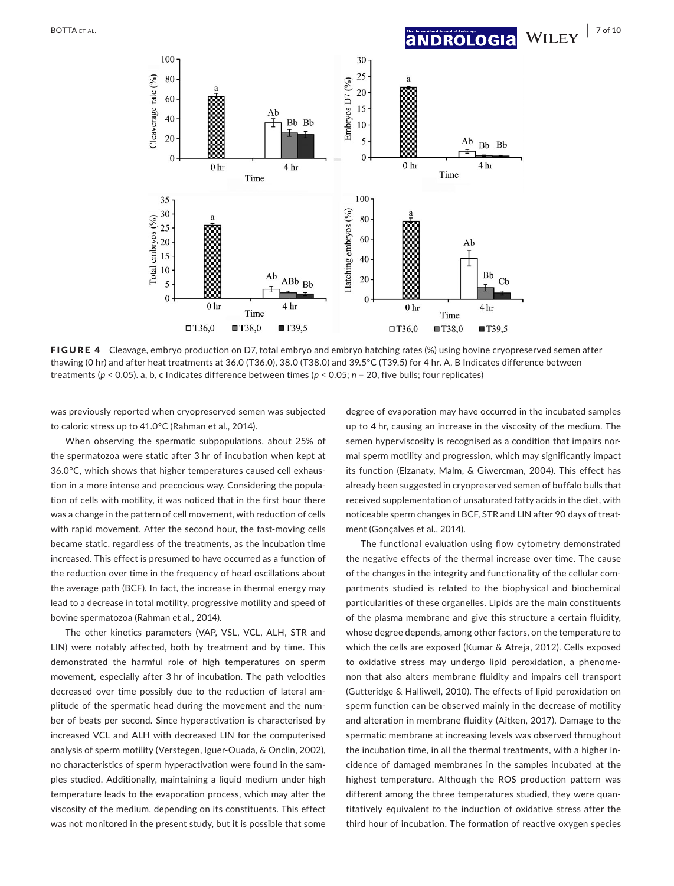

FIGURE 4 Cleavage, embryo production on D7, total embryo and embryo hatching rates (%) using bovine cryopreserved semen after thawing (0 hr) and after heat treatments at 36.0 (T36.0), 38.0 (T38.0) and 39.5°C (T39.5) for 4 hr. A, B Indicates difference between treatments (*p* < 0.05). a, b, c Indicates difference between times (*p* < 0.05; *n* = 20, five bulls; four replicates)

was previously reported when cryopreserved semen was subjected to caloric stress up to 41.0°C (Rahman et al., 2014).

When observing the spermatic subpopulations, about 25% of the spermatozoa were static after 3 hr of incubation when kept at 36.0℃, which shows that higher temperatures caused cell exhaustion in a more intense and precocious way. Considering the popula‐ tion of cells with motility, it was noticed that in the first hour there was a change in the pattern of cell movement, with reduction of cells with rapid movement. After the second hour, the fast-moving cells became static, regardless of the treatments, as the incubation time increased. This effect is presumed to have occurred as a function of the reduction over time in the frequency of head oscillations about the average path (BCF). In fact, the increase in thermal energy may lead to a decrease in total motility, progressive motility and speed of bovine spermatozoa (Rahman et al., 2014).

The other kinetics parameters (VAP, VSL, VCL, ALH, STR and LIN) were notably affected, both by treatment and by time. This demonstrated the harmful role of high temperatures on sperm movement, especially after 3 hr of incubation. The path velocities decreased over time possibly due to the reduction of lateral am‐ plitude of the spermatic head during the movement and the num‐ ber of beats per second. Since hyperactivation is characterised by increased VCL and ALH with decreased LIN for the computerised analysis of sperm motility (Verstegen, Iguer‐Ouada, & Onclin, 2002), no characteristics of sperm hyperactivation were found in the sam‐ ples studied. Additionally, maintaining a liquid medium under high temperature leads to the evaporation process, which may alter the viscosity of the medium, depending on its constituents. This effect was not monitored in the present study, but it is possible that some

degree of evaporation may have occurred in the incubated samples up to 4 hr, causing an increase in the viscosity of the medium. The semen hyperviscosity is recognised as a condition that impairs normal sperm motility and progression, which may significantly impact its function (Elzanaty, Malm, & Giwercman, 2004). This effect has already been suggested in cryopreserved semen of buffalo bulls that received supplementation of unsaturated fatty acids in the diet, with noticeable sperm changes in BCF, STR and LIN after 90 days of treat‐ ment (Gonçalves et al., 2014).

The functional evaluation using flow cytometry demonstrated the negative effects of the thermal increase over time. The cause of the changes in the integrity and functionality of the cellular com‐ partments studied is related to the biophysical and biochemical particularities of these organelles. Lipids are the main constituents of the plasma membrane and give this structure a certain fluidity, whose degree depends, among other factors, on the temperature to which the cells are exposed (Kumar & Atreja, 2012). Cells exposed to oxidative stress may undergo lipid peroxidation, a phenome‐ non that also alters membrane fluidity and impairs cell transport (Gutteridge & Halliwell, 2010). The effects of lipid peroxidation on sperm function can be observed mainly in the decrease of motility and alteration in membrane fluidity (Aitken, 2017). Damage to the spermatic membrane at increasing levels was observed throughout the incubation time, in all the thermal treatments, with a higher in‐ cidence of damaged membranes in the samples incubated at the highest temperature. Although the ROS production pattern was different among the three temperatures studied, they were quan‐ titatively equivalent to the induction of oxidative stress after the third hour of incubation. The formation of reactive oxygen species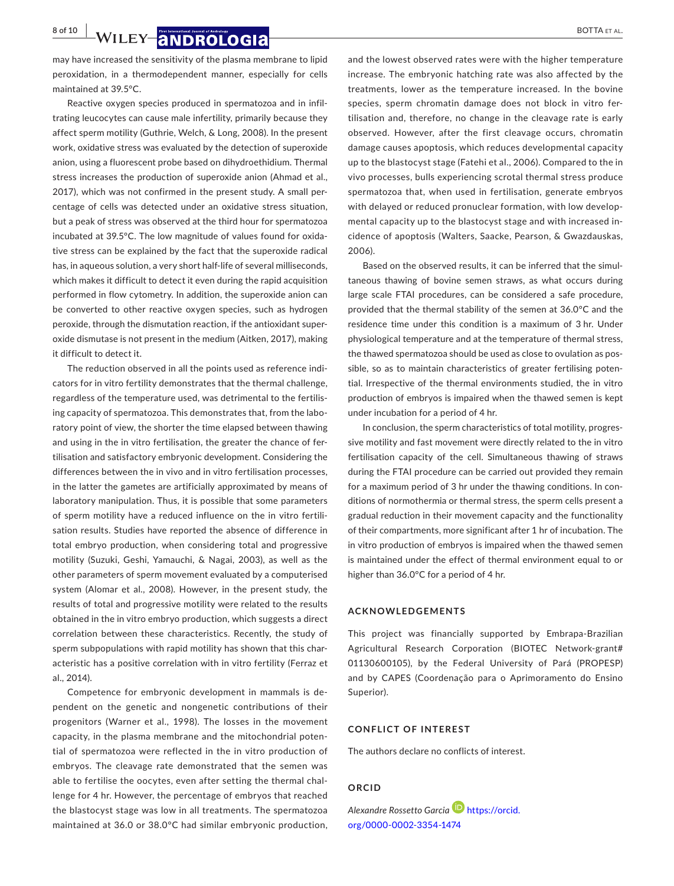**8 of 10 WILEY 8 NDROLOGI8 BOTTA ET AL.** 

may have increased the sensitivity of the plasma membrane to lipid peroxidation, in a thermodependent manner, especially for cells maintained at 39.5°C.

Reactive oxygen species produced in spermatozoa and in infil‐ trating leucocytes can cause male infertility, primarily because they affect sperm motility (Guthrie, Welch, & Long, 2008). In the present work, oxidative stress was evaluated by the detection of superoxide anion, using a fluorescent probe based on dihydroethidium. Thermal stress increases the production of superoxide anion (Ahmad et al., 2017), which was not confirmed in the present study. A small per‐ centage of cells was detected under an oxidative stress situation, but a peak of stress was observed at the third hour for spermatozoa incubated at 39.5°C. The low magnitude of values found for oxida‐ tive stress can be explained by the fact that the superoxide radical has, in aqueous solution, a very short half-life of several milliseconds, which makes it difficult to detect it even during the rapid acquisition performed in flow cytometry. In addition, the superoxide anion can be converted to other reactive oxygen species, such as hydrogen peroxide, through the dismutation reaction, if the antioxidant super‐ oxide dismutase is not present in the medium (Aitken, 2017), making it difficult to detect it.

The reduction observed in all the points used as reference indi‐ cators for in vitro fertility demonstrates that the thermal challenge, regardless of the temperature used, was detrimental to the fertilis‐ ing capacity of spermatozoa. This demonstrates that, from the laboratory point of view, the shorter the time elapsed between thawing and using in the in vitro fertilisation, the greater the chance of fer‐ tilisation and satisfactory embryonic development. Considering the differences between the in vivo and in vitro fertilisation processes, in the latter the gametes are artificially approximated by means of laboratory manipulation. Thus, it is possible that some parameters of sperm motility have a reduced influence on the in vitro fertili‐ sation results. Studies have reported the absence of difference in total embryo production, when considering total and progressive motility (Suzuki, Geshi, Yamauchi, & Nagai, 2003), as well as the other parameters of sperm movement evaluated by a computerised system (Alomar et al., 2008). However, in the present study, the results of total and progressive motility were related to the results obtained in the in vitro embryo production, which suggests a direct correlation between these characteristics. Recently, the study of sperm subpopulations with rapid motility has shown that this characteristic has a positive correlation with in vitro fertility (Ferraz et al., 2014).

Competence for embryonic development in mammals is de‐ pendent on the genetic and nongenetic contributions of their progenitors (Warner et al., 1998). The losses in the movement capacity, in the plasma membrane and the mitochondrial poten‐ tial of spermatozoa were reflected in the in vitro production of embryos. The cleavage rate demonstrated that the semen was able to fertilise the oocytes, even after setting the thermal chal‐ lenge for 4 hr. However, the percentage of embryos that reached the blastocyst stage was low in all treatments. The spermatozoa maintained at 36.0 or 38.0°C had similar embryonic production,

and the lowest observed rates were with the higher temperature increase. The embryonic hatching rate was also affected by the treatments, lower as the temperature increased. In the bovine species, sperm chromatin damage does not block in vitro fer‐ tilisation and, therefore, no change in the cleavage rate is early observed. However, after the first cleavage occurs, chromatin damage causes apoptosis, which reduces developmental capacity up to the blastocyst stage (Fatehi et al., 2006). Compared to the in vivo processes, bulls experiencing scrotal thermal stress produce spermatozoa that, when used in fertilisation, generate embryos with delayed or reduced pronuclear formation, with low developmental capacity up to the blastocyst stage and with increased in‐ cidence of apoptosis (Walters, Saacke, Pearson, & Gwazdauskas, 2006).

Based on the observed results, it can be inferred that the simul‐ taneous thawing of bovine semen straws, as what occurs during large scale FTAI procedures, can be considered a safe procedure, provided that the thermal stability of the semen at 36.0°C and the residence time under this condition is a maximum of 3 hr. Under physiological temperature and at the temperature of thermal stress, the thawed spermatozoa should be used as close to ovulation as pos‐ sible, so as to maintain characteristics of greater fertilising potential. Irrespective of the thermal environments studied, the in vitro production of embryos is impaired when the thawed semen is kept under incubation for a period of 4 hr.

In conclusion, the sperm characteristics of total motility, progres‐ sive motility and fast movement were directly related to the in vitro fertilisation capacity of the cell. Simultaneous thawing of straws during the FTAI procedure can be carried out provided they remain for a maximum period of 3 hr under the thawing conditions. In con‐ ditions of normothermia or thermal stress, the sperm cells present a gradual reduction in their movement capacity and the functionality of their compartments, more significant after 1 hr of incubation. The in vitro production of embryos is impaired when the thawed semen is maintained under the effect of thermal environment equal to or higher than 36.0°C for a period of 4 hr.

#### **ACKNOWLEDGEMENTS**

This project was financially supported by Embrapa‐Brazilian Agricultural Research Corporation (BIOTEC Network‐grant# 01130600105), by the Federal University of Pará (PROPESP) and by CAPES (Coordenação para o Aprimoramento do Ensino Superior).

#### **CONFLICT OF INTEREST**

The authors declare no conflicts of interest.

### **ORCID**

*Alexandre Rossetto Garci[a](https://orcid.org/0000-0002-3354-1474)* [https://orcid.](https://orcid.org/0000-0002-3354-1474) [org/0000-0002-3354-1474](https://orcid.org/0000-0002-3354-1474)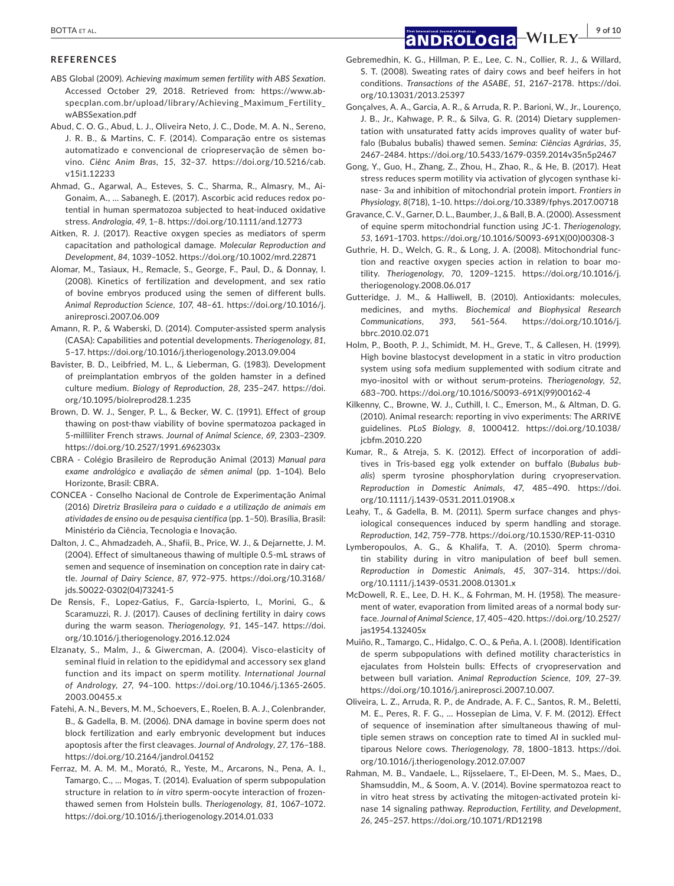#### **REFERENCES**

ABS Global (2009). *Achieving maximum semen fertility with ABS Sexation*. Accessed October 29, 2018. Retrieved from: [https://www.ab‐](https://www.abspecplan.com.br/upload/library/Achieving_Maximum_Fertility_wABSSexation.pdf) [specplan.com.br/upload/library/Achieving\\_Maximum\\_Fertility\\_](https://www.abspecplan.com.br/upload/library/Achieving_Maximum_Fertility_wABSSexation.pdf) [wABSSexation.pdf](https://www.abspecplan.com.br/upload/library/Achieving_Maximum_Fertility_wABSSexation.pdf)

Abud, C. O. G., Abud, L. J., Oliveira Neto, J. C., Dode, M. A. N., Sereno, J. R. B., & Martins, C. F. (2014). Comparação entre os sistemas automatizado e convencional de criopreservação de sêmen bo‐ vino. *Ciênc Anim Bras*, *15*, 32–37. [https://doi.org/10.5216/cab.](https://doi.org/10.5216/cab.v15i1.12233) [v15i1.12233](https://doi.org/10.5216/cab.v15i1.12233)

- Ahmad, G., Agarwal, A., Esteves, S. C., Sharma, R., Almasry, M., Ai‐ Gonaim, A., … Sabanegh, E. (2017). Ascorbic acid reduces redox po‐ tential in human spermatozoa subjected to heat-induced oxidative stress. *Andrologia*, *49*, 1–8.<https://doi.org/10.1111/and.12773>
- Aitken, R. J. (2017). Reactive oxygen species as mediators of sperm capacitation and pathological damage. *Molecular Reproduction and Development*, *84*, 1039–1052. <https://doi.org/10.1002/mrd.22871>
- Alomar, M., Tasiaux, H., Remacle, S., George, F., Paul, D., & Donnay, I. (2008). Kinetics of fertilization and development, and sex ratio of bovine embryos produced using the semen of different bulls. *Animal Reproduction Science*, *107*, 48–61. [https://doi.org/10.1016/j.](https://doi.org/10.1016/j.anireprosci.2007.06.009) [anireprosci.2007.06.009](https://doi.org/10.1016/j.anireprosci.2007.06.009)
- Amann, R. P., & Waberski, D. (2014). Computer‐assisted sperm analysis (CASA): Capabilities and potential developments. *Theriogenology*, *81*, 5–17.<https://doi.org/10.1016/j.theriogenology.2013.09.004>
- Bavister, B. D., Leibfried, M. L., & Lieberman, G. (1983). Development of preimplantation embryos of the golden hamster in a defined culture medium. *Biology of Reproduction*, *28*, 235–247. [https://doi.](https://doi.org/10.1095/biolreprod28.1.235) [org/10.1095/biolreprod28.1.235](https://doi.org/10.1095/biolreprod28.1.235)
- Brown, D. W. J., Senger, P. L., & Becker, W. C. (1991). Effect of group thawing on post‐thaw viability of bovine spermatozoa packaged in 5‐milliliter French straws. *Journal of Animal Science*, *69*, 2303–2309. <https://doi.org/10.2527/1991.6962303x>
- CBRA ‐ Colégio Brasileiro de Reprodução Animal (2013) *Manual para exame andrológico e avaliação de sêmen animal* (pp. 1–104). Belo Horizonte, Brasil: CBRA.
- CONCEA ‐ Conselho Nacional de Controle de Experimentação Animal (2016) *Diretriz Brasileira para o cuidado e a utilização de animais em atividades de ensino ou de pesquisa científica* (pp. 1–50). Brasília, Brasil: Ministério da Ciência, Tecnologia e Inovação.
- Dalton, J. C., Ahmadzadeh, A., Shafii, B., Price, W. J., & Dejarnette, J. M. (2004). Effect of simultaneous thawing of multiple 0.5‐mL straws of semen and sequence of insemination on conception rate in dairy cattle. *Journal of Dairy Science*, *87*, 972–975. [https://doi.org/10.3168/](https://doi.org/10.3168/jds.S0022-0302(04)73241-5) [jds.S0022-0302\(04\)73241-5](https://doi.org/10.3168/jds.S0022-0302(04)73241-5)
- De Rensis, F., Lopez‐Gatius, F., García‐Ispierto, I., Morini, G., & Scaramuzzi, R. J. (2017). Causes of declining fertility in dairy cows during the warm season. *Theriogenology*, *91*, 145–147. [https://doi.](https://doi.org/10.1016/j.theriogenology.2016.12.024) [org/10.1016/j.theriogenology.2016.12.024](https://doi.org/10.1016/j.theriogenology.2016.12.024)
- Elzanaty, S., Malm, J., & Giwercman, A. (2004). Visco‐elasticity of seminal fluid in relation to the epididymal and accessory sex gland function and its impact on sperm motility. *International Journal of Andrology*, *27*, 94–100. [https://doi.org/10.1046/j.1365-2605.](https://doi.org/10.1046/j.1365-2605.2003.00455.x) [2003.00455.x](https://doi.org/10.1046/j.1365-2605.2003.00455.x)
- Fatehi, A. N., Bevers, M. M., Schoevers, E., Roelen, B. A. J., Colenbrander, B., & Gadella, B. M. (2006). DNA damage in bovine sperm does not block fertilization and early embryonic development but induces apoptosis after the first cleavages. *Journal of Andrology*, *27*, 176–188. <https://doi.org/10.2164/jandrol.04152>
- Ferraz, M. A. M. M., Morató, R., Yeste, M., Arcarons, N., Pena, A. I., Tamargo, C., … Mogas, T. (2014). Evaluation of sperm subpopulation structure in relation to *in vitro* sperm‐oocyte interaction of frozen‐ thawed semen from Holstein bulls. *Theriogenology*, *81*, 1067–1072. <https://doi.org/10.1016/j.theriogenology.2014.01.033>
- Gebremedhin, K. G., Hillman, P. E., Lee, C. N., Collier, R. J., & Willard, S. T. (2008). Sweating rates of dairy cows and beef heifers in hot conditions. *Transactions of the ASABE*, *51*, 2167–2178. [https://doi.](https://doi.org/10.13031/2013.25397) [org/10.13031/2013.25397](https://doi.org/10.13031/2013.25397)
- Gonçalves, A. A., Garcia, A. R., & Arruda, R. P.. Barioni, W., Jr., Lourenço, J. B., Jr., Kahwage, P. R., & Silva, G. R. (2014) Dietary supplemen‐ tation with unsaturated fatty acids improves quality of water buf‐ falo (Bubalus bubalis) thawed semen. *Semina: Ciências Agrárias*, *35*, 2467–2484. <https://doi.org/10.5433/1679-0359.2014v35n5p2467>
- Gong, Y., Guo, H., Zhang, Z., Zhou, H., Zhao, R., & He, B. (2017). Heat stress reduces sperm motility via activation of glycogen synthase ki‐ nase‐ 3α and inhibition of mitochondrial protein import. *Frontiers in Physiology*, *8*(718), 1–10.<https://doi.org/10.3389/fphys.2017.00718>
- Gravance, C. V., Garner, D. L., Baumber, J., & Ball, B. A. (2000). Assessment of equine sperm mitochondrial function using JC‐1. *Theriogenology*, *53*, 1691–1703. [https://doi.org/10.1016/S0093-691X\(00\)00308-3](https://doi.org/10.1016/S0093-691X(00)00308-3)
- Guthrie, H. D., Welch, G. R., & Long, J. A. (2008). Mitochondrial func‐ tion and reactive oxygen species action in relation to boar mo‐ tility. *Theriogenology*, *70*, 1209–1215. [https://doi.org/10.1016/j.](https://doi.org/10.1016/j.theriogenology.2008.06.017) [theriogenology.2008.06.017](https://doi.org/10.1016/j.theriogenology.2008.06.017)
- Gutteridge, J. M., & Halliwell, B. (2010). Antioxidants: molecules, medicines, and myths. *Biochemical and Biophysical Research Communications*, *393*, 561–564. [https://doi.org/10.1016/j.](https://doi.org/10.1016/j.bbrc.2010.02.071) [bbrc.2010.02.071](https://doi.org/10.1016/j.bbrc.2010.02.071)
- Holm, P., Booth, P. J., Schimidt, M. H., Greve, T., & Callesen, H. (1999). High bovine blastocyst development in a static in vitro production system using sofa medium supplemented with sodium citrate and myo‐inositol with or without serum‐proteins. *Theriogenology*, *52*, 683–700. [https://doi.org/10.1016/S0093-691X\(99\)00162-4](https://doi.org/10.1016/S0093-691X(99)00162-4)
- Kilkenny, C., Browne, W. J., Cuthill, I. C., Emerson, M., & Altman, D. G. (2010). Animal research: reporting in vivo experiments: The ARRIVE guidelines. *PLoS Biology*, *8*, 1000412. [https://doi.org/10.1038/](https://doi.org/10.1038/jcbfm.2010.220) [jcbfm.2010.220](https://doi.org/10.1038/jcbfm.2010.220)
- Kumar, R., & Atreja, S. K. (2012). Effect of incorporation of addi‐ tives in Tris‐based egg yolk extender on buffalo (*Bubalus bubalis*) sperm tyrosine phosphorylation during cryopreservation. *Reproduction in Domestic Animals*, *47*, 485–490. [https://doi.](https://doi.org/10.1111/j.1439-0531.2011.01908.x) [org/10.1111/j.1439-0531.2011.01908.x](https://doi.org/10.1111/j.1439-0531.2011.01908.x)
- Leahy, T., & Gadella, B. M. (2011). Sperm surface changes and physiological consequences induced by sperm handling and storage. *Reproduction*, *142*, 759–778.<https://doi.org/10.1530/REP-11-0310>
- Lymberopoulos, A. G., & Khalifa, T. A. (2010). Sperm chromatin stability during in vitro manipulation of beef bull semen. *Reproduction in Domestic Animals*, *45*, 307–314. [https://doi.](https://doi.org/10.1111/j.1439-0531.2008.01301.x) [org/10.1111/j.1439-0531.2008.01301.x](https://doi.org/10.1111/j.1439-0531.2008.01301.x)
- McDowell, R. E., Lee, D. H. K., & Fohrman, M. H. (1958). The measure‐ ment of water, evaporation from limited areas of a normal body sur‐ face. *Journal of Animal Science*, *17*, 405–420. [https://doi.org/10.2527/](https://doi.org/10.2527/jas1954.132405x) [jas1954.132405x](https://doi.org/10.2527/jas1954.132405x)
- Muiño, R., Tamargo, C., Hidalgo, C. O., & Peña, A. I. (2008). Identification de sperm subpopulations with defined motility characteristics in ejaculates from Holstein bulls: Effects of cryopreservation and between bull variation. *Animal Reproduction Science*, *109*, 27–39. [https://doi.org/10.1016/j.anireprosci.2007.10.007.](https://doi.org/10.1016/j.anireprosci.2007.10.007)
- Oliveira, L. Z., Arruda, R. P., de Andrade, A. F. C., Santos, R. M., Beletti, M. E., Peres, R. F. G., … Hossepian de Lima, V. F. M. (2012). Effect of sequence of insemination after simultaneous thawing of mul‐ tiple semen straws on conception rate to timed AI in suckled mul‐ tiparous Nelore cows. *Theriogenology*, *78*, 1800–1813. [https://doi.](https://doi.org/10.1016/j.theriogenology.2012.07.007) [org/10.1016/j.theriogenology.2012.07.007](https://doi.org/10.1016/j.theriogenology.2012.07.007)
- Rahman, M. B., Vandaele, L., Rijsselaere, T., El‐Deen, M. S., Maes, D., Shamsuddin, M., & Soom, A. V. (2014). Bovine spermatozoa react to in vitro heat stress by activating the mitogen-activated protein kinase 14 signaling pathway. *Reproduction, Fertility, and Development*, *26*, 245–257. <https://doi.org/10.1071/RD12198>